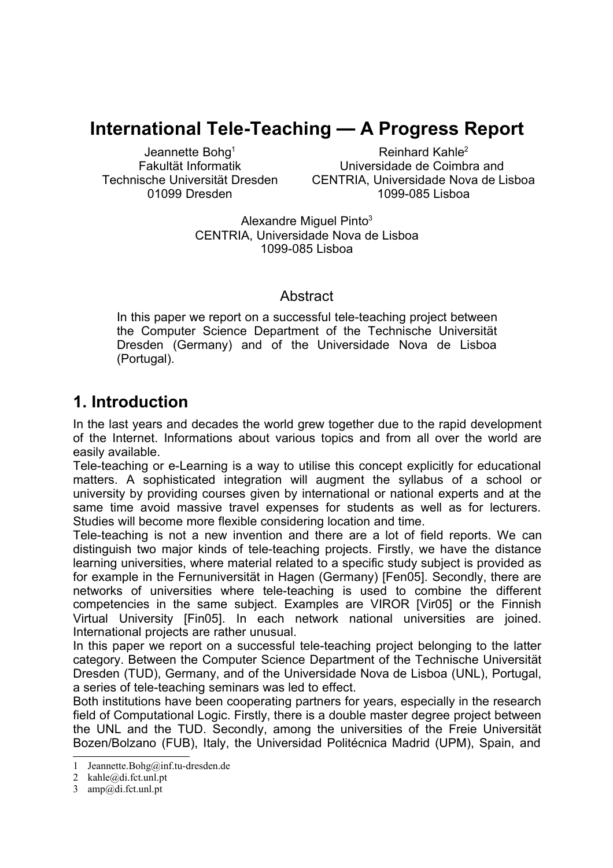# **International Tele-Teaching — A Progress Report**

Jeannette Bohg<sup>1</sup> Fakultät Informatik Technische Universität Dresden 01099 Dresden

Reinhard Kahle 2 Universidade de Coimbra and CENTRIA, Universidade Nova de Lisboa 1099-085 Lisboa

Alexandre Miguel Pinto<sup>3</sup> CENTRIA, Universidade Nova de Lisboa 1099-085 Lisboa

#### **Abstract**

In this paper we report on a successful tele-teaching project between the Computer Science Department of the Technische Universität Dresden (Germany) and of the Universidade Nova de Lisboa (Portugal).

### **1. Introduction**

In the last years and decades the world grew together due to the rapid development of the Internet. Informations about various topics and from all over the world are easily available.

Tele-teaching or e-Learning is a way to utilise this concept explicitly for educational matters. A sophisticated integration will augment the syllabus of a school or university by providing courses given by international or national experts and at the same time avoid massive travel expenses for students as well as for lecturers. Studies will become more flexible considering location and time.

Tele-teaching is not a new invention and there are a lot of field reports. We can distinguish two major kinds of tele-teaching projects. Firstly, we have the distance learning universities, where material related to a specific study subject is provided as for example in the Fernuniversität in Hagen (Germany) [Fen05]. Secondly, there are networks of universities where tele-teaching is used to combine the different competencies in the same subject. Examples are VIROR [Vir05] or the Finnish Virtual University [Fin05]. In each network national universities are joined. International projects are rather unusual.

In this paper we report on a successful tele-teaching project belonging to the latter category. Between the Computer Science Department of the Technische Universität Dresden (TUD), Germany, and of the Universidade Nova de Lisboa (UNL), Portugal, a series of tele-teaching seminars was led to effect.

Both institutions have been cooperating partners for years, especially in the research field of Computational Logic. Firstly, there is a double master degree project between the UNL and the TUD. Secondly, among the universities of the Freie Universität Bozen/Bolzano (FUB), Italy, the Universidad Politécnica Madrid (UPM), Spain, and

<sup>1</sup> Jeannette.Bohg@inf.tu-dresden.de

<sup>2</sup> kahle@di.fct.unl.pt

<sup>3</sup> amp@di.fct.unl.pt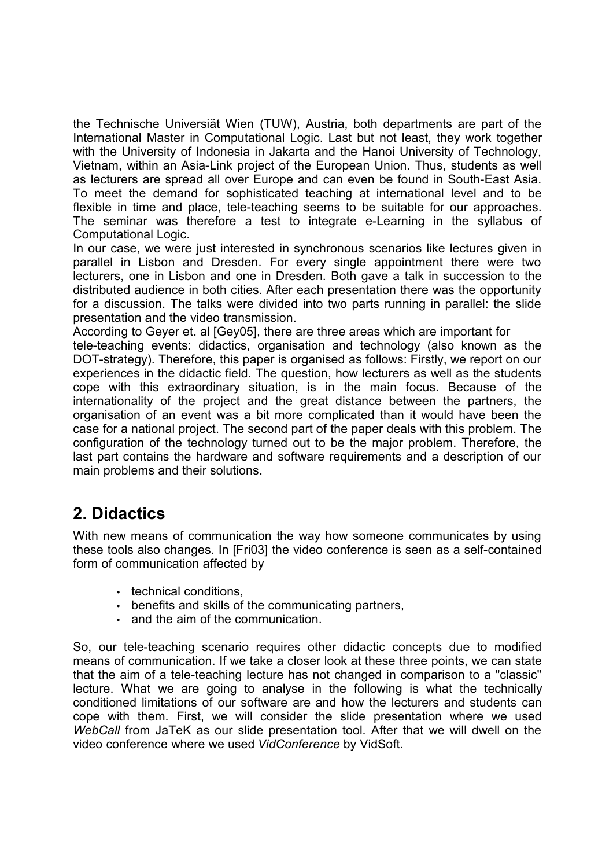the Technische Universiät Wien (TUW), Austria, both departments are part of the International Master in Computational Logic. Last but not least, they work together with the University of Indonesia in Jakarta and the Hanoi University of Technology, Vietnam, within an Asia-Link project of the European Union. Thus, students as well as lecturers are spread all over Europe and can even be found in South-East Asia. To meet the demand for sophisticated teaching at international level and to be flexible in time and place, tele-teaching seems to be suitable for our approaches. The seminar was therefore a test to integrate e-Learning in the syllabus of Computational Logic.

In our case, we were just interested in synchronous scenarios like lectures given in parallel in Lisbon and Dresden. For every single appointment there were two lecturers, one in Lisbon and one in Dresden. Both gave a talk in succession to the distributed audience in both cities. After each presentation there was the opportunity for a discussion. The talks were divided into two parts running in parallel: the slide presentation and the video transmission.

According to Geyer et. al [Gey05], there are three areas which are important for tele-teaching events: didactics, organisation and technology (also known as the DOT-strategy). Therefore, this paper is organised as follows: Firstly, we report on our experiences in the didactic field. The question, how lecturers as well as the students cope with this extraordinary situation, is in the main focus. Because of the internationality of the project and the great distance between the partners, the organisation of an event was a bit more complicated than it would have been the

#### case for a national project. The second part of the paper deals with this problem. The configuration of the technology turned out to be the major problem. Therefore, the last part contains the hardware and software requirements and a description of our main problems and their solutions.

# **2. Didactics**

With new means of communication the way how someone communicates by using these tools also changes. In [Fri03] the video conference is seen as a self-contained form of communication affected by

- technical conditions,
- benefits and skills of the communicating partners,
- and the aim of the communication.

So, our tele-teaching scenario requires other didactic concepts due to modified means of communication. If we take a closer look at these three points, we can state that the aim of a tele-teaching lecture has not changed in comparison to a "classic" lecture. What we are going to analyse in the following is what the technically conditioned limitations of our software are and how the lecturers and students can cope with them. First, we will consider the slide presentation where we used *WebCall* from JaTeK as our slide presentation tool. After that we will dwell on the video conference where we used *VidConference* by VidSoft.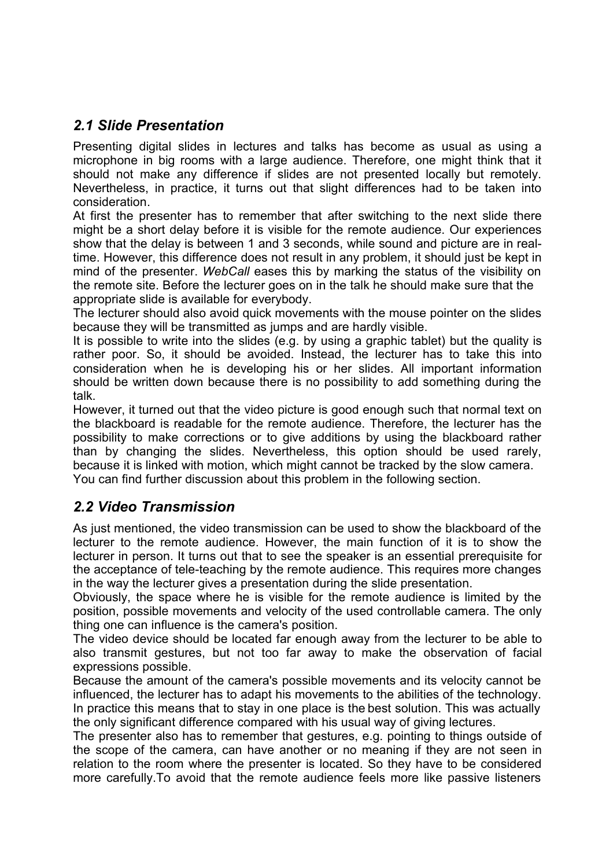### *2.1 Slide Presentation*

Presenting digital slides in lectures and talks has become as usual as using a microphone in big rooms with a large audience. Therefore, one might think that it should not make any difference if slides are not presented locally but remotely. Nevertheless, in practice, it turns out that slight differences had to be taken into consideration.

At first the presenter has to remember that after switching to the next slide there might be a short delay before it is visible for the remote audience. Our experiences show that the delay is between 1 and 3 seconds, while sound and picture are in realtime. However, this difference does not result in any problem, it should just be kept in mind of the presenter. *WebCall* eases this by marking the status of the visibility on the remote site. Before the lecturer goes on in the talk he should make sure that the appropriate slide is available for everybody.

The lecturer should also avoid quick movements with the mouse pointer on the slides because they will be transmitted as jumps and are hardly visible.

It is possible to write into the slides (e.g. by using a graphic tablet) but the quality is rather poor. So, it should be avoided. Instead, the lecturer has to take this into consideration when he is developing his or her slides. All important information should be written down because there is no possibility to add something during the talk.

However, it turned out that the video picture is good enough such that normal text on the blackboard is readable for the remote audience. Therefore, the lecturer has the possibility to make corrections or to give additions by using the blackboard rather than by changing the slides. Nevertheless, this option should be used rarely, because it is linked with motion, which might cannot be tracked by the slow camera. You can find further discussion about this problem in the following section.

### *2.2 Video Transmission*

As just mentioned, the video transmission can be used to show the blackboard of the lecturer to the remote audience. However, the main function of it is to show the lecturer in person. It turns out that to see the speaker is an essential prerequisite for the acceptance of tele-teaching by the remote audience. This requires more changes in the way the lecturer gives a presentation during the slide presentation.

Obviously, the space where he is visible for the remote audience is limited by the position, possible movements and velocity of the used controllable camera. The only thing one can influence is the camera's position.

The video device should be located far enough away from the lecturer to be able to also transmit gestures, but not too far away to make the observation of facial expressions possible.

Because the amount of the camera's possible movements and its velocity cannot be influenced, the lecturer has to adapt his movements to the abilities of the technology. In practice this means that to stay in one place is the best solution. This was actually the only significant difference compared with his usual way of giving lectures.

The presenter also has to remember that gestures, e.g. pointing to things outside of the scope of the camera, can have another or no meaning if they are not seen in relation to the room where the presenter is located. So they have to be considered more carefully.To avoid that the remote audience feels more like passive listeners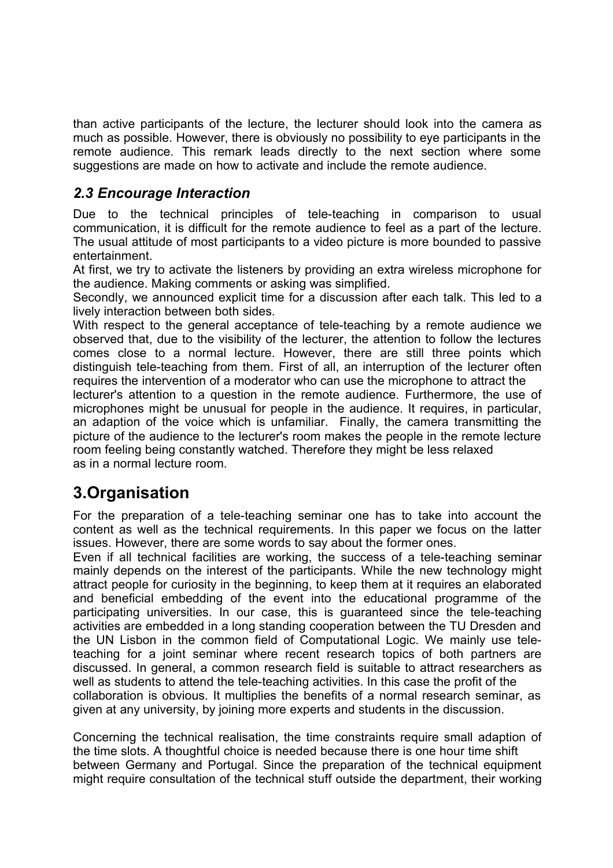than active participants of the lecture, the lecturer should look into the camera as much as possible. However, there is obviously no possibility to eye participants in the remote audience. This remark leads directly to the next section where some suggestions are made on how to activate and include the remote audience.

### *2.3 Encourage Interaction*

Due to the technical principles of tele-teaching in comparison to usual communication, it is difficult for the remote audience to feel as a part of the lecture. The usual attitude of most participants to a video picture is more bounded to passive entertainment.

At first, we try to activate the listeners by providing an extra wireless microphone for the audience. Making comments or asking was simplified.

Secondly, we announced explicit time for a discussion after each talk. This led to a lively interaction between both sides.

With respect to the general acceptance of tele-teaching by a remote audience we observed that, due to the visibility of the lecturer, the attention to follow the lectures comes close to a normal lecture. However, there are still three points which distinguish tele-teaching from them. First of all, an interruption of the lecturer often requires the intervention of a moderator who can use the microphone to attract the

lecturer's attention to a question in the remote audience. Furthermore, the use of microphones might be unusual for people in the audience. It requires, in particular, an adaption of the voice which is unfamiliar. Finally, the camera transmitting the picture of the audience to the lecturer's room makes the people in the remote lecture room feeling being constantly watched. Therefore they might be less relaxed as in a normal lecture room.

## **3.Organisation**

For the preparation of a tele-teaching seminar one has to take into account the content as well as the technical requirements. In this paper we focus on the latter issues. However, there are some words to say about the former ones.

Even if all technical facilities are working, the success of a tele-teaching seminar mainly depends on the interest of the participants. While the new technology might attract people for curiosity in the beginning, to keep them at it requires an elaborated and beneficial embedding of the event into the educational programme of the participating universities. In our case, this is guaranteed since the tele-teaching activities are embedded in a long standing cooperation between the TU Dresden and the UN Lisbon in the common field of Computational Logic. We mainly use teleteaching for a joint seminar where recent research topics of both partners are discussed. In general, a common research field is suitable to attract researchers as well as students to attend the tele-teaching activities. In this case the profit of the collaboration is obvious. It multiplies the benefits of a normal research seminar, as given at any university, by joining more experts and students in the discussion.

Concerning the technical realisation, the time constraints require small adaption of the time slots. A thoughtful choice is needed because there is one hour time shift between Germany and Portugal. Since the preparation of the technical equipment might require consultation of the technical stuff outside the department, their working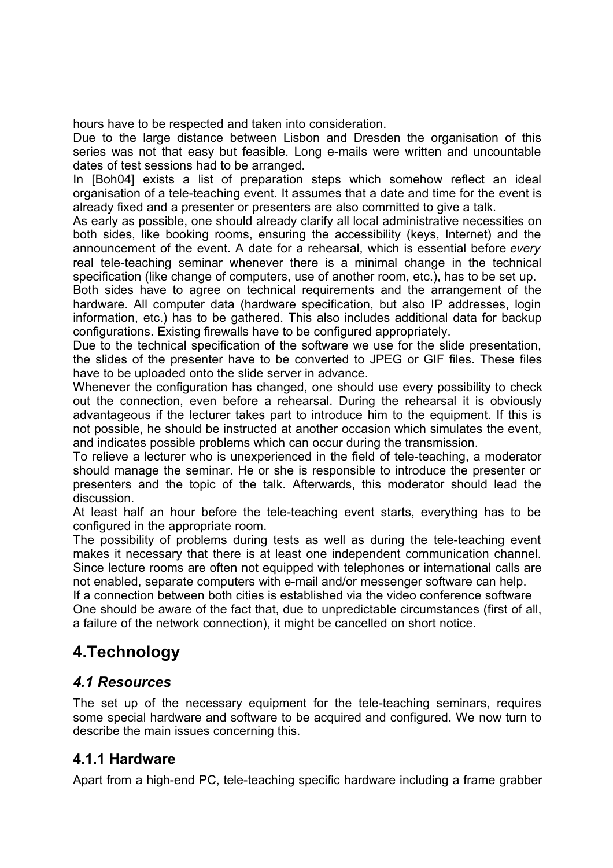hours have to be respected and taken into consideration.

Due to the large distance between Lisbon and Dresden the organisation of this series was not that easy but feasible. Long e-mails were written and uncountable dates of test sessions had to be arranged.

In [Boh04] exists a list of preparation steps which somehow reflect an ideal organisation of a tele-teaching event. It assumes that a date and time for the event is already fixed and a presenter or presenters are also committed to give a talk.

As early as possible, one should already clarify all local administrative necessities on both sides, like booking rooms, ensuring the accessibility (keys, Internet) and the announcement of the event. A date for a rehearsal, which is essential before *every* real tele-teaching seminar whenever there is a minimal change in the technical specification (like change of computers, use of another room, etc.), has to be set up.

Both sides have to agree on technical requirements and the arrangement of the hardware. All computer data (hardware specification, but also IP addresses, login information, etc.) has to be gathered. This also includes additional data for backup configurations. Existing firewalls have to be configured appropriately.

Due to the technical specification of the software we use for the slide presentation, the slides of the presenter have to be converted to JPEG or GIF files. These files have to be uploaded onto the slide server in advance.

Whenever the configuration has changed, one should use every possibility to check out the connection, even before a rehearsal. During the rehearsal it is obviously advantageous if the lecturer takes part to introduce him to the equipment. If this is not possible, he should be instructed at another occasion which simulates the event, and indicates possible problems which can occur during the transmission.

To relieve a lecturer who is unexperienced in the field of tele-teaching, a moderator should manage the seminar. He or she is responsible to introduce the presenter or presenters and the topic of the talk. Afterwards, this moderator should lead the discussion.

At least half an hour before the tele-teaching event starts, everything has to be configured in the appropriate room.

The possibility of problems during tests as well as during the tele-teaching event makes it necessary that there is at least one independent communication channel. Since lecture rooms are often not equipped with telephones or international calls are not enabled, separate computers with e-mail and/or messenger software can help.

If a connection between both cities is established via the video conference software One should be aware of the fact that, due to unpredictable circumstances (first of all, a failure of the network connection), it might be cancelled on short notice.

# **4.Technology**

#### *4.1 Resources*

The set up of the necessary equipment for the tele-teaching seminars, requires some special hardware and software to be acquired and configured. We now turn to describe the main issues concerning this.

#### **4.1.1 Hardware**

Apart from a high-end PC, tele-teaching specific hardware including a frame grabber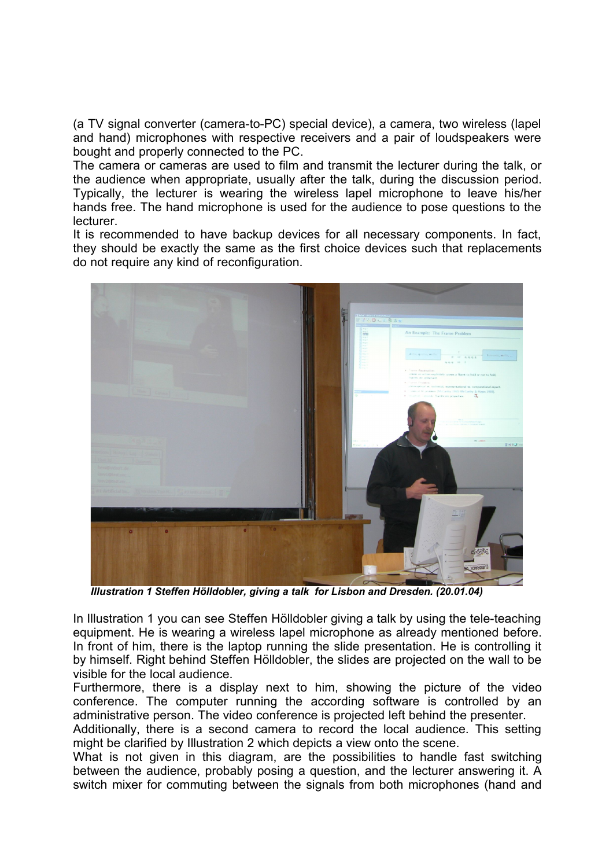(a TV signal converter (camera-to-PC) special device), a camera, two wireless (lapel and hand) microphones with respective receivers and a pair of loudspeakers were bought and properly connected to the PC.

The camera or cameras are used to film and transmit the lecturer during the talk, or the audience when appropriate, usually after the talk, during the discussion period. Typically, the lecturer is wearing the wireless lapel microphone to leave his/her hands free. The hand microphone is used for the audience to pose questions to the lecturer.

It is recommended to have backup devices for all necessary components. In fact, they should be exactly the same as the first choice devices such that replacements do not require any kind of reconfiguration.



*Illustration 1 Steffen Hölldobler, giving a talk for Lisbon and Dresden. (20.01.04)*

In Illustration 1 you can see Steffen Hölldobler giving a talk by using the tele-teaching equipment. He is wearing a wireless lapel microphone as already mentioned before. In front of him, there is the laptop running the slide presentation. He is controlling it by himself. Right behind Steffen Hölldobler, the slides are projected on the wall to be visible for the local audience.

Furthermore, there is a display next to him, showing the picture of the video conference. The computer running the according software is controlled by an administrative person. The video conference is projected left behind the presenter.

Additionally, there is a second camera to record the local audience. This setting might be clarified by Illustration 2 which depicts a view onto the scene.

What is not given in this diagram, are the possibilities to handle fast switching between the audience, probably posing a question, and the lecturer answering it. A switch mixer for commuting between the signals from both microphones (hand and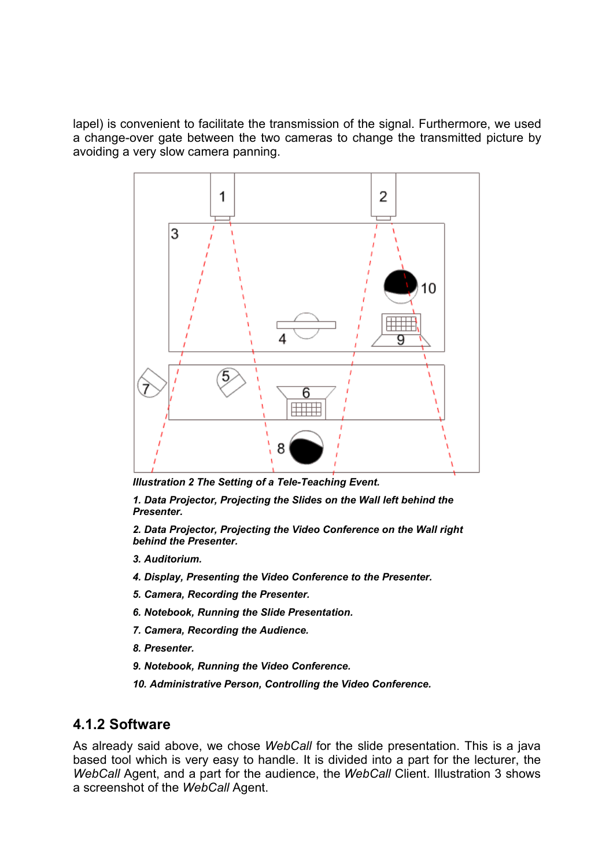lapel) is convenient to facilitate the transmission of the signal. Furthermore, we used a change-over gate between the two cameras to change the transmitted picture by avoiding a very slow camera panning.



*Illustration 2 The Setting of a Tele-Teaching Event.*

*1. Data Projector, Projecting the Slides on the Wall left behind the Presenter.*

*2. Data Projector, Projecting the Video Conference on the Wall right behind the Presenter.*

- *3. Auditorium.*
- *4. Display, Presenting the Video Conference to the Presenter.*
- *5. Camera, Recording the Presenter.*
- *6. Notebook, Running the Slide Presentation.*
- *7. Camera, Recording the Audience.*
- *8. Presenter.*
- *9. Notebook, Running the Video Conference.*
- *10. Administrative Person, Controlling the Video Conference.*

#### **4.1.2 Software**

As already said above, we chose *WebCall* for the slide presentation. This is a java based tool which is very easy to handle. It is divided into a part for the lecturer, the *WebCall* Agent, and a part for the audience, the *WebCall* Client. Illustration 3 shows a screenshot of the *WebCall* Agent.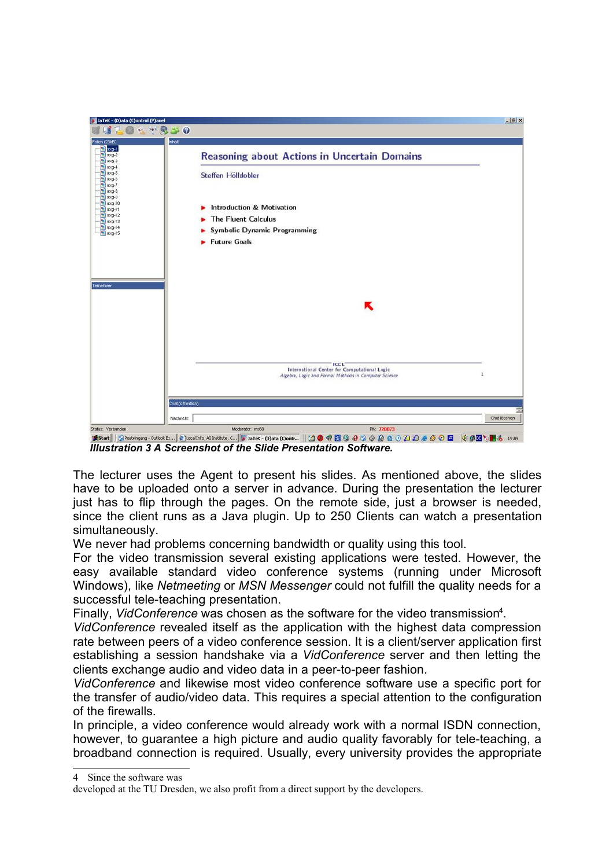

*Illustration 3 A Screenshot of the Slide Presentation Software.*

The lecturer uses the Agent to present his slides. As mentioned above, the slides have to be uploaded onto a server in advance. During the presentation the lecturer just has to flip through the pages. On the remote side, just a browser is needed, since the client runs as a Java plugin. Up to 250 Clients can watch a presentation simultaneously.

We never had problems concerning bandwidth or quality using this tool.

For the video transmission several existing applications were tested. However, the easy available standard video conference systems (running under Microsoft Windows), like *Netmeeting* or *MSN Messenger* could not fulfill the quality needs for a successful tele-teaching presentation.

Finally, *VidConference* was chosen as the software for the video transmission 4 .

*VidConference* revealed itself as the application with the highest data compression rate between peers of a video conference session. It is a client/server application first establishing a session handshake via a *VidConference* server and then letting the clients exchange audio and video data in a peer-to-peer fashion.

*VidConference* and likewise most video conference software use a specific port for the transfer of audio/video data. This requires a special attention to the configuration of the firewalls.

In principle, a video conference would already work with a normal ISDN connection, however, to guarantee a high picture and audio quality favorably for tele-teaching, a broadband connection is required. Usually, every university provides the appropriate

<sup>4</sup> Since the software was

developed at the TU Dresden, we also profit from a direct support by the developers.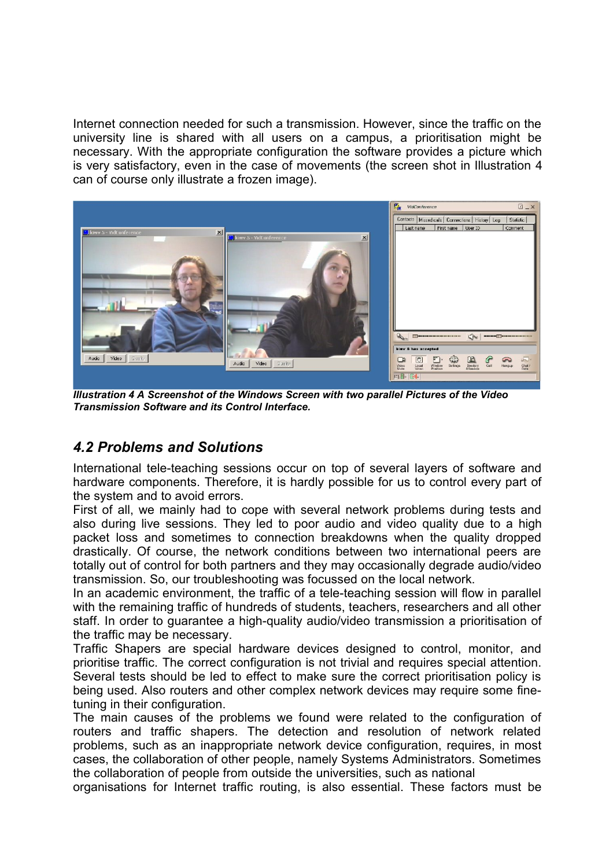Internet connection needed for such a transmission. However, since the traffic on the university line is shared with all users on a campus, a prioritisation might be necessary. With the appropriate configuration the software provides a picture which is very satisfactory, even in the case of movements (the screen shot in Illustration 4 can of course only illustrate a frozen image).



*Illustration 4 A Screenshot of the Windows Screen with two parallel Pictures of the Video Transmission Software and its Control Interface.*

#### *4.2 Problems and Solutions*

International tele-teaching sessions occur on top of several layers of software and hardware components. Therefore, it is hardly possible for us to control every part of the system and to avoid errors.

First of all, we mainly had to cope with several network problems during tests and also during live sessions. They led to poor audio and video quality due to a high packet loss and sometimes to connection breakdowns when the quality dropped drastically. Of course, the network conditions between two international peers are totally out of control for both partners and they may occasionally degrade audio/video transmission. So, our troubleshooting was focussed on the local network.

In an academic environment, the traffic of a tele-teaching session will flow in parallel with the remaining traffic of hundreds of students, teachers, researchers and all other staff. In order to guarantee a high-quality audio/video transmission a prioritisation of the traffic may be necessary.

Traffic Shapers are special hardware devices designed to control, monitor, and prioritise traffic. The correct configuration is not trivial and requires special attention. Several tests should be led to effect to make sure the correct prioritisation policy is being used. Also routers and other complex network devices may require some finetuning in their configuration.

The main causes of the problems we found were related to the configuration of routers and traffic shapers. The detection and resolution of network related problems, such as an inappropriate network device configuration, requires, in most cases, the collaboration of other people, namely Systems Administrators. Sometimes the collaboration of people from outside the universities, such as national

organisations for Internet traffic routing, is also essential. These factors must be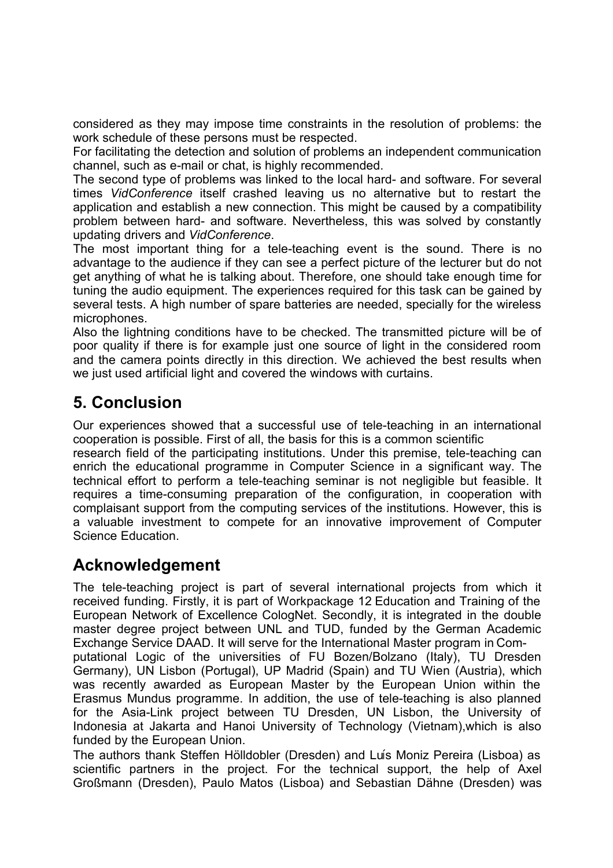considered as they may impose time constraints in the resolution of problems: the work schedule of these persons must be respected.

For facilitating the detection and solution of problems an independent communication channel, such as e-mail or chat, is highly recommended.

The second type of problems was linked to the local hard- and software. For several times *VidConference* itself crashed leaving us no alternative but to restart the application and establish a new connection. This might be caused by a compatibility problem between hard- and software. Nevertheless, this was solved by constantly updating drivers and *VidConference*.

The most important thing for a tele-teaching event is the sound. There is no advantage to the audience if they can see a perfect picture of the lecturer but do not get anything of what he is talking about. Therefore, one should take enough time for tuning the audio equipment. The experiences required for this task can be gained by several tests. A high number of spare batteries are needed, specially for the wireless microphones.

Also the lightning conditions have to be checked. The transmitted picture will be of poor quality if there is for example just one source of light in the considered room and the camera points directly in this direction. We achieved the best results when we just used artificial light and covered the windows with curtains.

## **5. Conclusion**

Our experiences showed that a successful use of tele-teaching in an international cooperation is possible. First of all, the basis for this is a common scientific

research field of the participating institutions. Under this premise, tele-teaching can enrich the educational programme in Computer Science in a significant way. The technical effort to perform a tele-teaching seminar is not negligible but feasible. It requires a time-consuming preparation of the configuration, in cooperation with complaisant support from the computing services of the institutions. However, this is a valuable investment to compete for an innovative improvement of Computer Science Education.

### **Acknowledgement**

The tele-teaching project is part of several international projects from which it received funding. Firstly, it is part of Workpackage 12 Education and Training of the European Network of Excellence CologNet. Secondly, it is integrated in the double master degree project between UNL and TUD, funded by the German Academic Exchange Service DAAD. It will serve for the International Master program in Com-

putational Logic of the universities of FU Bozen/Bolzano (Italy), TU Dresden Germany), UN Lisbon (Portugal), UP Madrid (Spain) and TU Wien (Austria), which was recently awarded as European Master by the European Union within the Erasmus Mundus programme. In addition, the use of tele-teaching is also planned for the Asia-Link project between TU Dresden, UN Lisbon, the University of Indonesia at Jakarta and Hanoi University of Technology (Vietnam),which is also funded by the European Union.

The authors thank Steffen Hölldobler (Dresden) and Luís Moniz Pereira (Lisboa) as scientific partners in the project. For the technical support, the help of Axel Großmann (Dresden), Paulo Matos (Lisboa) and Sebastian Dähne (Dresden) was